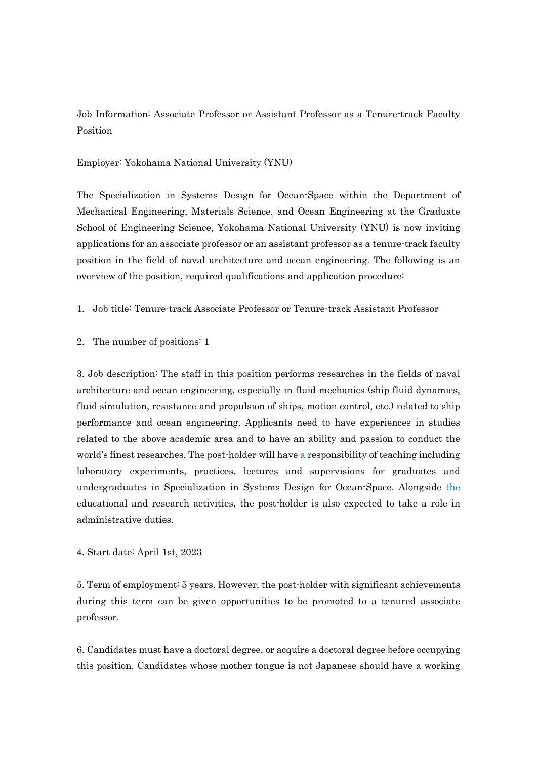Job Information: Associate Professor or Assistant Professor as a Tenure-track Faculty Position

## Employer: Yokohama National University (YNU)

The Specialization in Systems Design for Ocean-Space within the Department of Mechanical Engineering, Materials Science, and Ocean Engineering at the Graduate School of Engineering Science, Yokohama National University (YNU) is now inviting applications for an associate professor or an assistant professor as a tenure-track faculty position in the field of naval architecture and ocean engineering. The following is an overview of the position, required qualifications and application procedure:

## 1. Job title: Tenure-track Associate Professor or Tenure-track Assistant Professor

2. The number of positions: 1

3. Job description: The staff in this position performs researches in the fields of naval architecture and ocean engineering, especially in fluid mechanics (ship fluid dynamics, fluid simulation, resistance and propulsion of ships, motion control, etc.) related to ship performance and ocean engineering. Applicants need to have experiences in studies related to the above academic area and to have an ability and passion to conduct the world's finest researches. The post-holder will have a responsibility of teaching including laboratory experiments, practices, lectures and supervisions for graduates and undergraduates in Specialization in Systems Design for Ocean-Space. Alongside the educational and research activities, the post-holder is also expected to take a role in administrative duties.

4. Start date: April 1st, 2023

5. Term of employment: 5 years. However, the post-holder with significant achievements during this term can be given opportunities to be promoted to a tenured associate professor.

6. Candidates must have a doctoral degree, or acquire a doctoral degree before occupying this position. Candidates whose mother tongue is not Japanese should have a working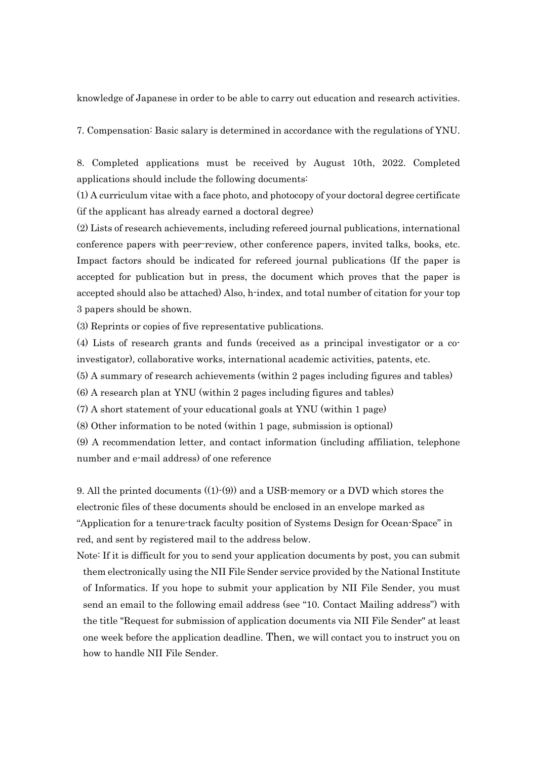knowledge of Japanese in order to be able to carry out education and research activities.

7. Compensation: Basic salary is determined in accordance with the regulations of YNU.

8. Completed applications must be received by August 10th, 2022. Completed applications should include the following documents:

(1) A curriculum vitae with a face photo, and photocopy of your doctoral degree certificate (if the applicant has already earned a doctoral degree)

(2) Lists of research achievements, including refereed journal publications, international conference papers with peer-review, other conference papers, invited talks, books, etc. Impact factors should be indicated for refereed journal publications (If the paper is accepted for publication but in press, the document which proves that the paper is accepted should also be attached) Also, h-index, and total number of citation for your top 3 papers should be shown.

(3) Reprints or copies of five representative publications.

(4) Lists of research grants and funds (received as a principal investigator or a coinvestigator), collaborative works, international academic activities, patents, etc.

(5) A summary of research achievements (within 2 pages including figures and tables)

(6) A research plan at YNU (within 2 pages including figures and tables)

(7) A short statement of your educational goals at YNU (within 1 page)

(8) Other information to be noted (within 1 page, submission is optional)

(9) A recommendation letter, and contact information (including affiliation, telephone number and e-mail address) of one reference

9. All the printed documents ((1)-(9)) and a USB-memory or a DVD which stores the electronic files of these documents should be enclosed in an envelope marked as "Application for a tenure-track faculty position of Systems Design for Ocean-Space" in red, and sent by registered mail to the address below.

Note: If it is difficult for you to send your application documents by post, you can submit them electronically using the NII File Sender service provided by the National Institute of Informatics. If you hope to submit your application by NII File Sender, you must send an email to the following email address (see "10. Contact Mailing address") with the title "Request for submission of application documents via NII File Sender" at least one week before the application deadline. Then, we will contact you to instruct you on how to handle NII File Sender.